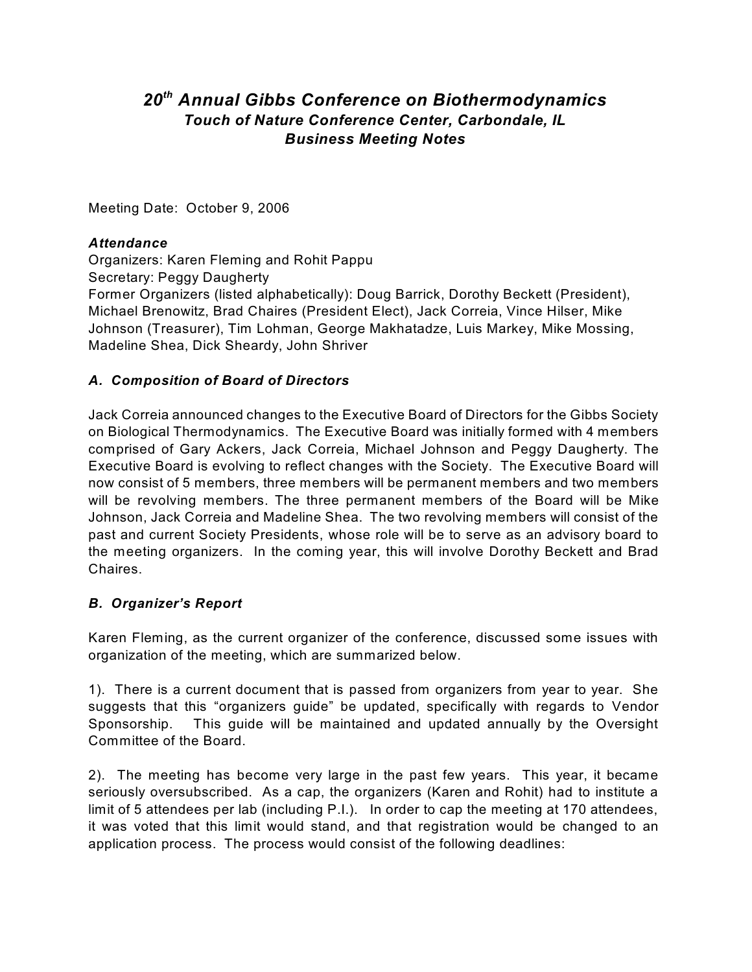# 20<sup>th</sup> Annual Gibbs Conference on Biothermodynamics *Touch of Nature Conference Center, Carbondale, IL Business Meeting Notes*

Meeting Date: October 9, 2006

#### *Attendance*

Organizers: Karen Fleming and Rohit Pappu Secretary: Peggy Daugherty Former Organizers (listed alphabetically): Doug Barrick, Dorothy Beckett (President), Michael Brenowitz, Brad Chaires (President Elect), Jack Correia, Vince Hilser, Mike Johnson (Treasurer), Tim Lohman, George Makhatadze, Luis Markey, Mike Mossing, Madeline Shea, Dick Sheardy, John Shriver

#### *A. Composition of Board of Directors*

Jack Correia announced changes to the Executive Board of Directors for the Gibbs Society on Biological Thermodynamics. The Executive Board was initially formed with 4 members comprised of Gary Ackers, Jack Correia, Michael Johnson and Peggy Daugherty. The Executive Board is evolving to reflect changes with the Society. The Executive Board will now consist of 5 members, three members will be permanent members and two members will be revolving members. The three permanent members of the Board will be Mike Johnson, Jack Correia and Madeline Shea. The two revolving members will consist of the past and current Society Presidents, whose role will be to serve as an advisory board to the meeting organizers. In the coming year, this will involve Dorothy Beckett and Brad Chaires.

## *B. Organizer's Report*

Karen Fleming, as the current organizer of the conference, discussed some issues with organization of the meeting, which are summarized below.

1). There is a current document that is passed from organizers from year to year. She suggests that this "organizers guide" be updated, specifically with regards to Vendor Sponsorship. This guide will be maintained and updated annually by the Oversight Committee of the Board.

2). The meeting has become very large in the past few years. This year, it became seriously oversubscribed. As a cap, the organizers (Karen and Rohit) had to institute a limit of 5 attendees per lab (including P.I.). In order to cap the meeting at 170 attendees, it was voted that this limit would stand, and that registration would be changed to an application process. The process would consist of the following deadlines: